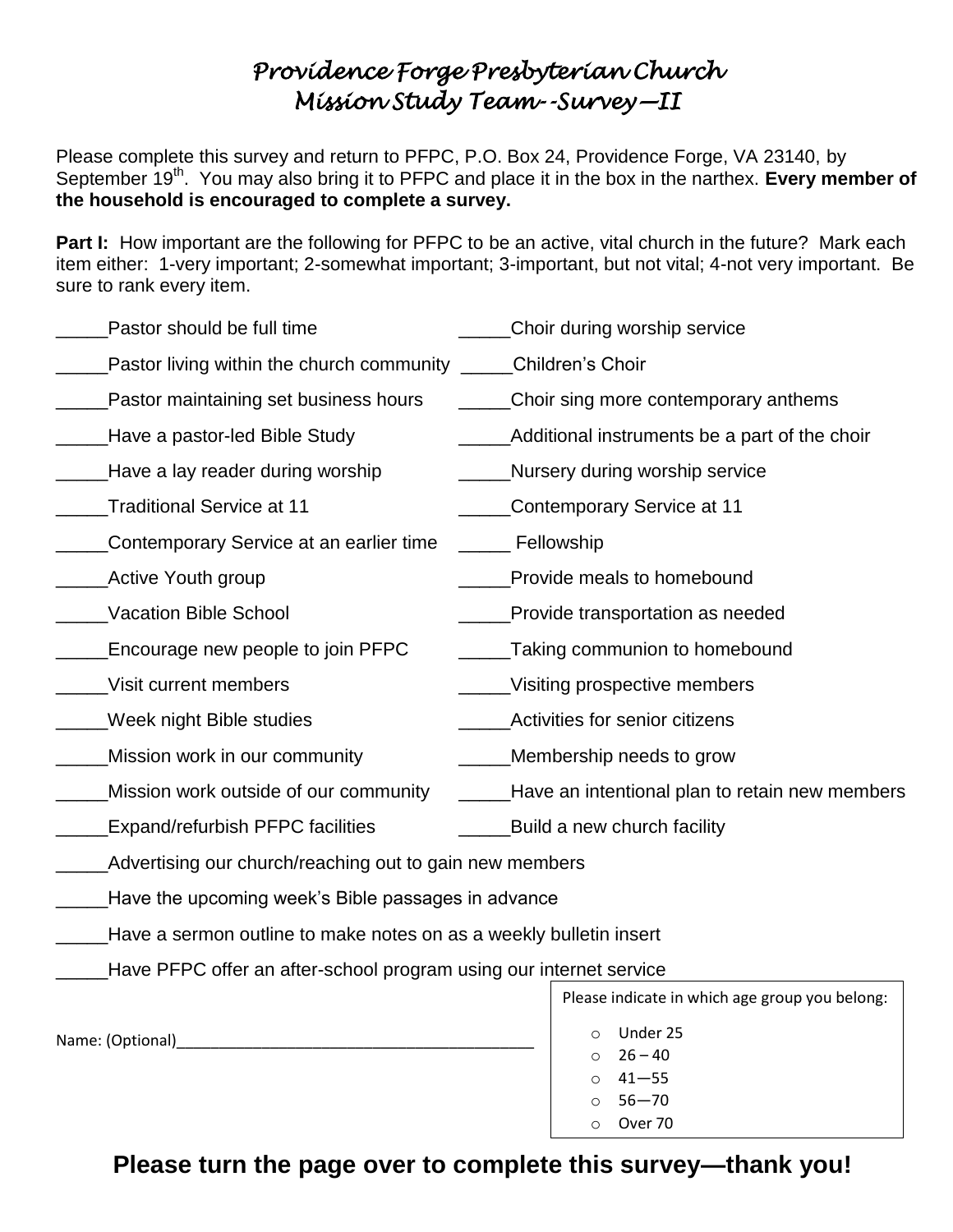## *Providence Forge Presbyterian Church Mission Study Team--Survey—II*

Please complete this survey and return to PFPC, P.O. Box 24, Providence Forge, VA 23140, by September 19<sup>th</sup>. You may also bring it to PFPC and place it in the box in the narthex. Every member of **the household is encouraged to complete a survey.**

**Part I:** How important are the following for PFPC to be an active, vital church in the future? Mark each item either: 1-very important; 2-somewhat important; 3-important, but not vital; 4-not very important. Be sure to rank every item.

| Pastor should be full time                                         | Choir during worship service                        |
|--------------------------------------------------------------------|-----------------------------------------------------|
| Pastor living within the church community ______Children's Choir   |                                                     |
| Pastor maintaining set business hours                              | ______Choir sing more contemporary anthems          |
| Have a pastor-led Bible Study                                      | Additional instruments be a part of the choir       |
| Have a lay reader during worship                                   | Nursery during worship service                      |
| Traditional Service at 11                                          | Contemporary Service at 11                          |
| Contemporary Service at an earlier time                            | _______ Fellowship                                  |
| <b>Active Youth group</b>                                          | Provide meals to homebound                          |
| Vacation Bible School                                              | Provide transportation as needed                    |
| Encourage new people to join PFPC                                  | Taking communion to homebound                       |
| Visit current members                                              | ____Visiting prospective members                    |
| Week night Bible studies                                           | Activities for senior citizens                      |
| Mission work in our community                                      | Membership needs to grow                            |
| Mission work outside of our community                              | _____Have an intentional plan to retain new members |
| <b>Expand/refurbish PFPC facilities</b>                            | Build a new church facility                         |
| Advertising our church/reaching out to gain new members            |                                                     |
| Have the upcoming week's Bible passages in advance                 |                                                     |
| Have a sermon outline to make notes on as a weekly bulletin insert |                                                     |
| Have PFPC offer an after-school program using our internet service |                                                     |
|                                                                    | Please indicate in which age group you belong:      |
| Name: (Optional)                                                   | Under 25<br>$\circ$                                 |
|                                                                    | $26 - 40$<br>$41 - 55$                              |
|                                                                    | $\Omega$<br>$56 - 70$                               |
|                                                                    | Over 70<br>$\circ$                                  |

**Please turn the page over to complete this survey—thank you!**